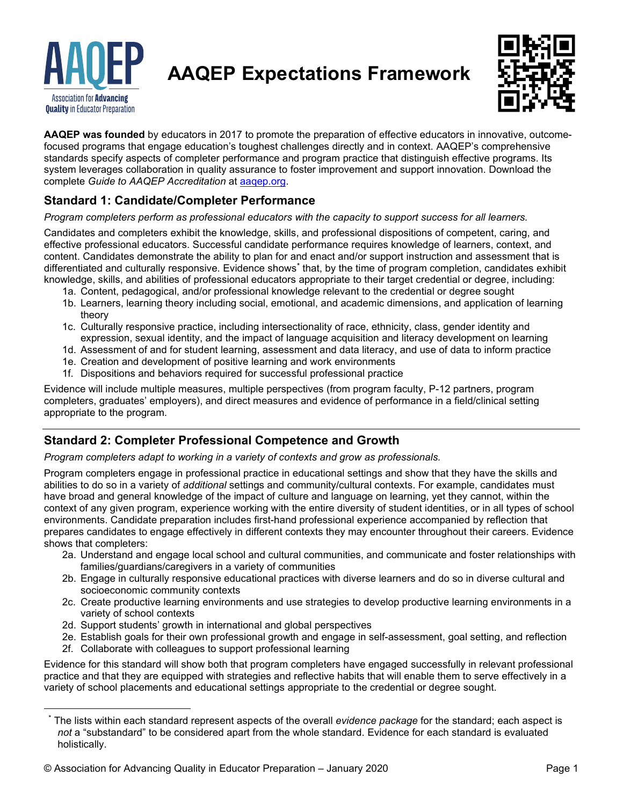

**AAQEP Expectations Framework**



**AAQEP was founded** by educators in 2017 to promote the preparation of effective educators in innovative, outcomefocused programs that engage education's toughest challenges directly and in context. AAQEP's comprehensive standards specify aspects of completer performance and program practice that distinguish effective programs. Its system leverages collaboration in quality assurance to foster improvement and support innovation. Download the complete *Guide to AAQEP Accreditation* at [aaqep.org.](https://aaqep.org/)

### **Standard 1: Candidate/Completer Performance**

*Program completers perform as professional educators with the capacity to support success for all learners.*

Candidates and completers exhibit the knowledge, skills, and professional dispositions of competent, caring, and effective professional educators. Successful candidate performance requires knowledge of learners, context, and content. Candidates demonstrate the ability to plan for and enact and/or support instruction and assessment that is differentiated and culturally responsive. Evidence shows**[\\*](#page-0-0)** that, by the time of program completion, candidates exhibit knowledge, skills, and abilities of professional educators appropriate to their target credential or degree, including:

- 1a. Content, pedagogical, and/or professional knowledge relevant to the credential or degree sought
- 1b. Learners, learning theory including social, emotional, and academic dimensions, and application of learning theory
- 1c. Culturally responsive practice, including intersectionality of race, ethnicity, class, gender identity and expression, sexual identity, and the impact of language acquisition and literacy development on learning
- 1d. Assessment of and for student learning, assessment and data literacy, and use of data to inform practice
- 1e. Creation and development of positive learning and work environments
- 1f. Dispositions and behaviors required for successful professional practice

Evidence will include multiple measures, multiple perspectives (from program faculty, P-12 partners, program completers, graduates' employers), and direct measures and evidence of performance in a field/clinical setting appropriate to the program.

#### **Standard 2: Completer Professional Competence and Growth**

*Program completers adapt to working in a variety of contexts and grow as professionals.*

Program completers engage in professional practice in educational settings and show that they have the skills and abilities to do so in a variety of *additional* settings and community/cultural contexts. For example, candidates must have broad and general knowledge of the impact of culture and language on learning, yet they cannot, within the context of any given program, experience working with the entire diversity of student identities, or in all types of school environments. Candidate preparation includes first-hand professional experience accompanied by reflection that prepares candidates to engage effectively in different contexts they may encounter throughout their careers. Evidence shows that completers:

- 2a. Understand and engage local school and cultural communities, and communicate and foster relationships with families/guardians/caregivers in a variety of communities
- 2b. Engage in culturally responsive educational practices with diverse learners and do so in diverse cultural and socioeconomic community contexts
- 2c. Create productive learning environments and use strategies to develop productive learning environments in a variety of school contexts
- 2d. Support students' growth in international and global perspectives
- 2e. Establish goals for their own professional growth and engage in self-assessment, goal setting, and reflection 2f. Collaborate with colleagues to support professional learning

Evidence for this standard will show both that program completers have engaged successfully in relevant professional practice and that they are equipped with strategies and reflective habits that will enable them to serve effectively in a variety of school placements and educational settings appropriate to the credential or degree sought.

<span id="page-0-0"></span>The lists within each standard represent aspects of the overall *evidence package* for the standard; each aspect is *not* a "substandard" to be considered apart from the whole standard. Evidence for each standard is evaluated holistically.